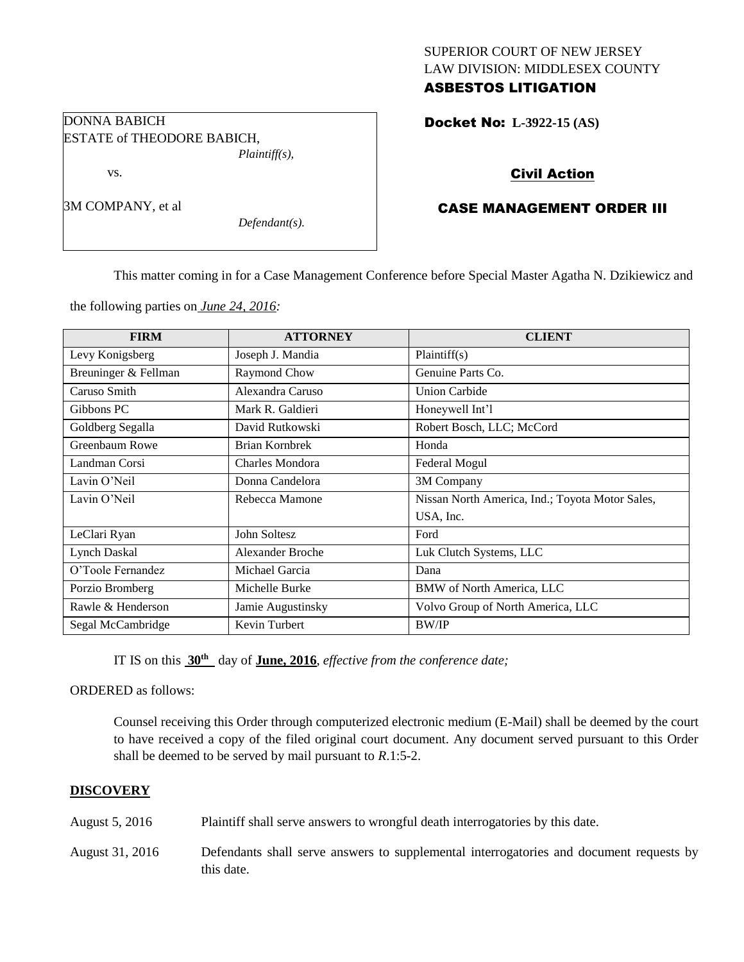# SUPERIOR COURT OF NEW JERSEY LAW DIVISION: MIDDLESEX COUNTY

# ASBESTOS LITIGATION

Docket No: **L-3922-15 (AS)** 

## Civil Action

## CASE MANAGEMENT ORDER III

This matter coming in for a Case Management Conference before Special Master Agatha N. Dzikiewicz and

the following parties on *June 24, 2016:*

*Defendant(s).*

| <b>FIRM</b>          | <b>ATTORNEY</b>         | <b>CLIENT</b>                                   |
|----------------------|-------------------------|-------------------------------------------------|
| Levy Konigsberg      | Joseph J. Mandia        | Plaintiff(s)                                    |
| Breuninger & Fellman | Raymond Chow            | Genuine Parts Co.                               |
| Caruso Smith         | Alexandra Caruso        | <b>Union Carbide</b>                            |
| Gibbons PC           | Mark R. Galdieri        | Honeywell Int'l                                 |
| Goldberg Segalla     | David Rutkowski         | Robert Bosch, LLC; McCord                       |
| Greenbaum Rowe       | Brian Kornbrek          | Honda                                           |
| Landman Corsi        | Charles Mondora         | Federal Mogul                                   |
| Lavin O'Neil         | Donna Candelora         | 3M Company                                      |
| Lavin O'Neil         | Rebecca Mamone          | Nissan North America, Ind.; Toyota Motor Sales, |
|                      |                         | USA, Inc.                                       |
| LeClari Ryan         | John Soltesz            | Ford                                            |
| <b>Lynch Daskal</b>  | <b>Alexander Broche</b> | Luk Clutch Systems, LLC                         |
| O'Toole Fernandez    | Michael Garcia          | Dana                                            |
| Porzio Bromberg      | Michelle Burke          | <b>BMW</b> of North America, LLC                |
| Rawle & Henderson    | Jamie Augustinsky       | Volvo Group of North America, LLC               |
| Segal McCambridge    | Kevin Turbert           | <b>BW/IP</b>                                    |

IT IS on this **30th** day of **June, 2016**, *effective from the conference date;*

ORDERED as follows:

Counsel receiving this Order through computerized electronic medium (E-Mail) shall be deemed by the court to have received a copy of the filed original court document. Any document served pursuant to this Order shall be deemed to be served by mail pursuant to *R*.1:5-2.

### **DISCOVERY**

- August 5, 2016 Plaintiff shall serve answers to wrongful death interrogatories by this date.
- August 31, 2016 Defendants shall serve answers to supplemental interrogatories and document requests by this date.

## DONNA BABICH ESTATE of THEODORE BABICH, *Plaintiff(s),*

vs.

3M COMPANY, et al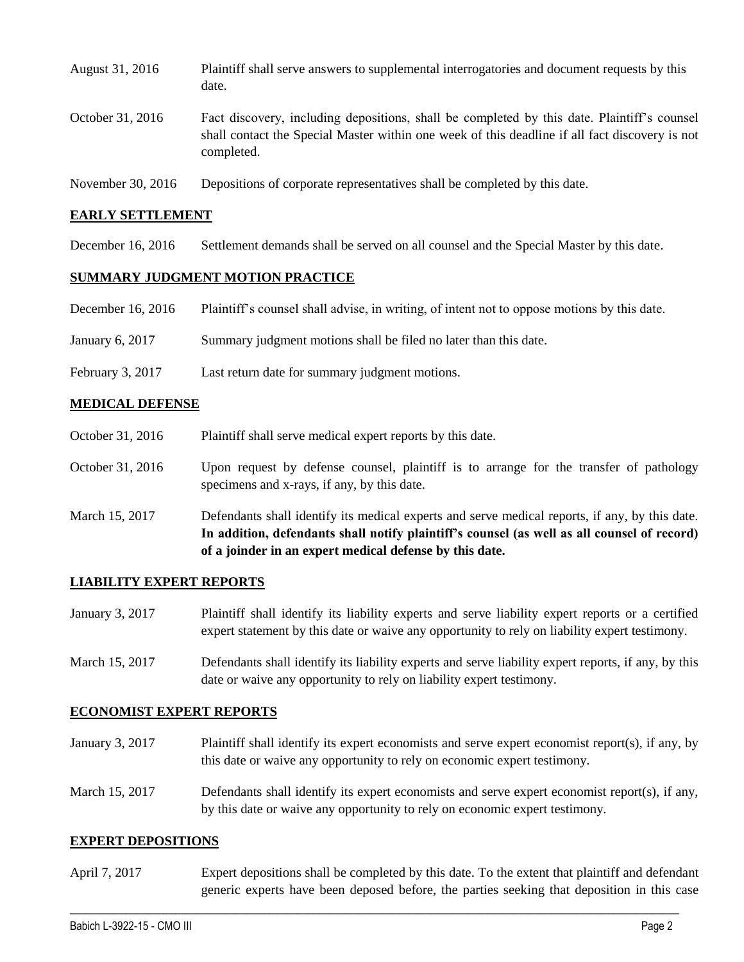| August 31, 2016  | Plaintiff shall serve answers to supplemental interrogatories and document requests by this<br>date.                                                                                                        |
|------------------|-------------------------------------------------------------------------------------------------------------------------------------------------------------------------------------------------------------|
| October 31, 2016 | Fact discovery, including depositions, shall be completed by this date. Plaintiff's counsel<br>shall contact the Special Master within one week of this deadline if all fact discovery is not<br>completed. |
|                  |                                                                                                                                                                                                             |

November 30, 2016 Depositions of corporate representatives shall be completed by this date.

#### **EARLY SETTLEMENT**

December 16, 2016 Settlement demands shall be served on all counsel and the Special Master by this date.

#### **SUMMARY JUDGMENT MOTION PRACTICE**

- December 16, 2016 Plaintiff's counsel shall advise, in writing, of intent not to oppose motions by this date.
- January 6, 2017 Summary judgment motions shall be filed no later than this date.
- February 3, 2017 Last return date for summary judgment motions.

#### **MEDICAL DEFENSE**

- October 31, 2016 Plaint if shall serve medical expert reports by this date.
- October 31, 2016 Upon request by defense counsel, plaintiff is to arrange for the transfer of pathology specimens and x-rays, if any, by this date.
- March 15, 2017 Defendants shall identify its medical experts and serve medical reports, if any, by this date. **In addition, defendants shall notify plaintiff's counsel (as well as all counsel of record) of a joinder in an expert medical defense by this date.**

#### **LIABILITY EXPERT REPORTS**

- January 3, 2017 Plaintiff shall identify its liability experts and serve liability expert reports or a certified expert statement by this date or waive any opportunity to rely on liability expert testimony.
- March 15, 2017 Defendants shall identify its liability experts and serve liability expert reports, if any, by this date or waive any opportunity to rely on liability expert testimony.

#### **ECONOMIST EXPERT REPORTS**

- January 3, 2017 Plaintiff shall identify its expert economists and serve expert economist report(s), if any, by this date or waive any opportunity to rely on economic expert testimony.
- March 15, 2017 Defendants shall identify its expert economists and serve expert economist report(s), if any, by this date or waive any opportunity to rely on economic expert testimony.

#### **EXPERT DEPOSITIONS**

April 7, 2017 Expert depositions shall be completed by this date. To the extent that plaintiff and defendant generic experts have been deposed before, the parties seeking that deposition in this case

 $\_$  , and the set of the set of the set of the set of the set of the set of the set of the set of the set of the set of the set of the set of the set of the set of the set of the set of the set of the set of the set of th